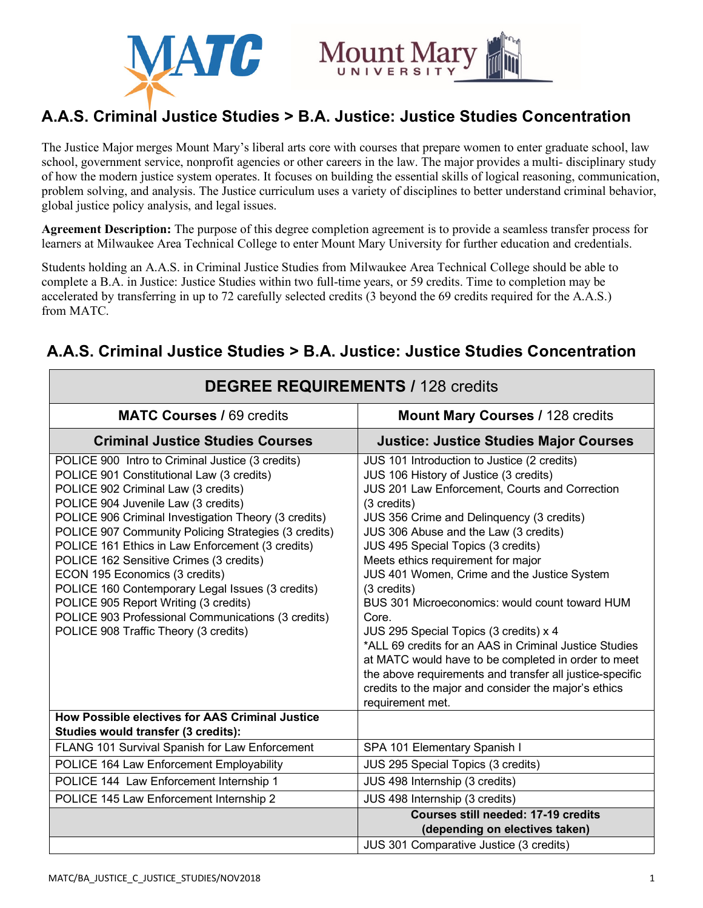



## **A.A.S. Criminal Justice Studies > B.A. Justice: Justice Studies Concentration**

The Justice Major merges Mount Mary's liberal arts core with courses that prepare women to enter graduate school, law school, government service, nonprofit agencies or other careers in the law. The major provides a multi- disciplinary study of how the modern justice system operates. It focuses on building the essential skills of logical reasoning, communication, problem solving, and analysis. The Justice curriculum uses a variety of disciplines to better understand criminal behavior, global justice policy analysis, and legal issues.

**Agreement Description:** The purpose of this degree completion agreement is to provide a seamless transfer process for learners at Milwaukee Area Technical College to enter Mount Mary University for further education and credentials.

Students holding an A.A.S. in Criminal Justice Studies from Milwaukee Area Technical College should be able to complete a B.A. in Justice: Justice Studies within two full-time years, or 59 credits. Time to completion may be accelerated by transferring in up to 72 carefully selected credits (3 beyond the 69 credits required for the A.A.S.) from MATC.

| <b>DEGREE REQUIREMENTS / 128 credits</b>                                                                                                                                                                                                                                                                                                                                                                                                                                                                                                                                                                                 |                                                                                                                                                                                                                                                                                                                                                                                                                                                                                                                                                                                                                                                                                                                                                      |
|--------------------------------------------------------------------------------------------------------------------------------------------------------------------------------------------------------------------------------------------------------------------------------------------------------------------------------------------------------------------------------------------------------------------------------------------------------------------------------------------------------------------------------------------------------------------------------------------------------------------------|------------------------------------------------------------------------------------------------------------------------------------------------------------------------------------------------------------------------------------------------------------------------------------------------------------------------------------------------------------------------------------------------------------------------------------------------------------------------------------------------------------------------------------------------------------------------------------------------------------------------------------------------------------------------------------------------------------------------------------------------------|
| <b>MATC Courses / 69 credits</b>                                                                                                                                                                                                                                                                                                                                                                                                                                                                                                                                                                                         | <b>Mount Mary Courses / 128 credits</b>                                                                                                                                                                                                                                                                                                                                                                                                                                                                                                                                                                                                                                                                                                              |
| <b>Criminal Justice Studies Courses</b>                                                                                                                                                                                                                                                                                                                                                                                                                                                                                                                                                                                  | <b>Justice: Justice Studies Major Courses</b>                                                                                                                                                                                                                                                                                                                                                                                                                                                                                                                                                                                                                                                                                                        |
| POLICE 900 Intro to Criminal Justice (3 credits)<br>POLICE 901 Constitutional Law (3 credits)<br>POLICE 902 Criminal Law (3 credits)<br>POLICE 904 Juvenile Law (3 credits)<br>POLICE 906 Criminal Investigation Theory (3 credits)<br>POLICE 907 Community Policing Strategies (3 credits)<br>POLICE 161 Ethics in Law Enforcement (3 credits)<br>POLICE 162 Sensitive Crimes (3 credits)<br>ECON 195 Economics (3 credits)<br>POLICE 160 Contemporary Legal Issues (3 credits)<br>POLICE 905 Report Writing (3 credits)<br>POLICE 903 Professional Communications (3 credits)<br>POLICE 908 Traffic Theory (3 credits) | JUS 101 Introduction to Justice (2 credits)<br>JUS 106 History of Justice (3 credits)<br>JUS 201 Law Enforcement, Courts and Correction<br>(3 credits)<br>JUS 356 Crime and Delinquency (3 credits)<br>JUS 306 Abuse and the Law (3 credits)<br>JUS 495 Special Topics (3 credits)<br>Meets ethics requirement for major<br>JUS 401 Women, Crime and the Justice System<br>(3 credits)<br>BUS 301 Microeconomics: would count toward HUM<br>Core.<br>JUS 295 Special Topics (3 credits) x 4<br>*ALL 69 credits for an AAS in Criminal Justice Studies<br>at MATC would have to be completed in order to meet<br>the above requirements and transfer all justice-specific<br>credits to the major and consider the major's ethics<br>requirement met. |
| How Possible electives for AAS Criminal Justice<br>Studies would transfer (3 credits):                                                                                                                                                                                                                                                                                                                                                                                                                                                                                                                                   |                                                                                                                                                                                                                                                                                                                                                                                                                                                                                                                                                                                                                                                                                                                                                      |
| FLANG 101 Survival Spanish for Law Enforcement                                                                                                                                                                                                                                                                                                                                                                                                                                                                                                                                                                           | SPA 101 Elementary Spanish I                                                                                                                                                                                                                                                                                                                                                                                                                                                                                                                                                                                                                                                                                                                         |
| POLICE 164 Law Enforcement Employability                                                                                                                                                                                                                                                                                                                                                                                                                                                                                                                                                                                 | JUS 295 Special Topics (3 credits)                                                                                                                                                                                                                                                                                                                                                                                                                                                                                                                                                                                                                                                                                                                   |
| POLICE 144 Law Enforcement Internship 1                                                                                                                                                                                                                                                                                                                                                                                                                                                                                                                                                                                  | JUS 498 Internship (3 credits)                                                                                                                                                                                                                                                                                                                                                                                                                                                                                                                                                                                                                                                                                                                       |
| POLICE 145 Law Enforcement Internship 2                                                                                                                                                                                                                                                                                                                                                                                                                                                                                                                                                                                  | JUS 498 Internship (3 credits)                                                                                                                                                                                                                                                                                                                                                                                                                                                                                                                                                                                                                                                                                                                       |
|                                                                                                                                                                                                                                                                                                                                                                                                                                                                                                                                                                                                                          | <b>Courses still needed: 17-19 credits</b><br>(depending on electives taken)                                                                                                                                                                                                                                                                                                                                                                                                                                                                                                                                                                                                                                                                         |
|                                                                                                                                                                                                                                                                                                                                                                                                                                                                                                                                                                                                                          | JUS 301 Comparative Justice (3 credits)                                                                                                                                                                                                                                                                                                                                                                                                                                                                                                                                                                                                                                                                                                              |

## **A.A.S. Criminal Justice Studies > B.A. Justice: Justice Studies Concentration**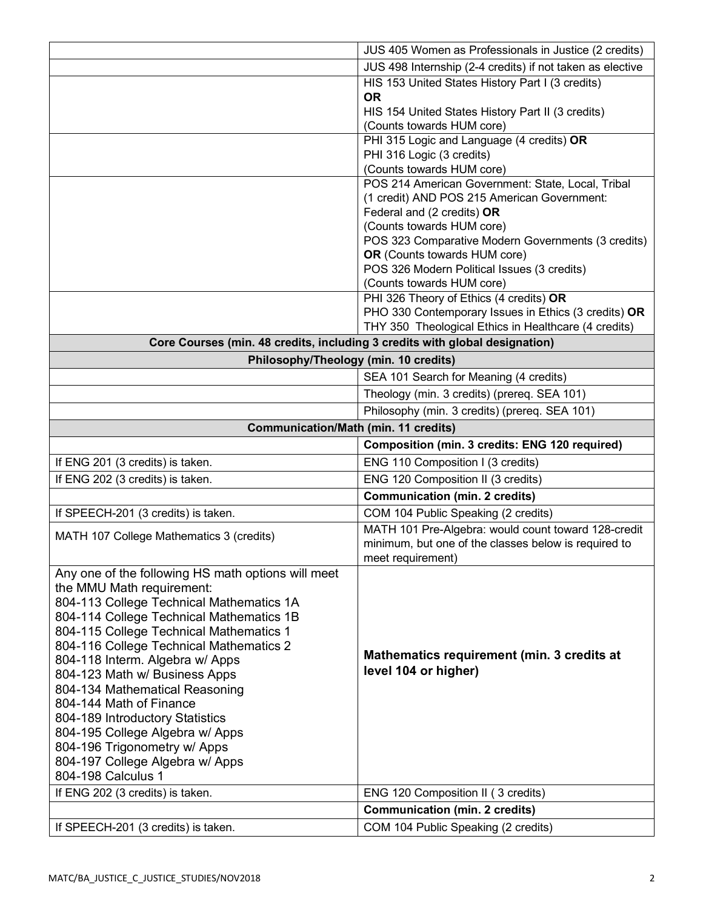|                                                                             | JUS 405 Women as Professionals in Justice (2 credits)                                                       |
|-----------------------------------------------------------------------------|-------------------------------------------------------------------------------------------------------------|
|                                                                             | JUS 498 Internship (2-4 credits) if not taken as elective                                                   |
|                                                                             | HIS 153 United States History Part I (3 credits)                                                            |
|                                                                             | <b>OR</b>                                                                                                   |
|                                                                             | HIS 154 United States History Part II (3 credits)                                                           |
|                                                                             | (Counts towards HUM core)                                                                                   |
|                                                                             | PHI 315 Logic and Language (4 credits) OR                                                                   |
|                                                                             | PHI 316 Logic (3 credits)                                                                                   |
|                                                                             | (Counts towards HUM core)                                                                                   |
|                                                                             | POS 214 American Government: State, Local, Tribal                                                           |
|                                                                             | (1 credit) AND POS 215 American Government:                                                                 |
|                                                                             | Federal and (2 credits) OR                                                                                  |
|                                                                             | (Counts towards HUM core)                                                                                   |
|                                                                             | POS 323 Comparative Modern Governments (3 credits)                                                          |
|                                                                             | OR (Counts towards HUM core)<br>POS 326 Modern Political Issues (3 credits)                                 |
|                                                                             | (Counts towards HUM core)                                                                                   |
|                                                                             | PHI 326 Theory of Ethics (4 credits) OR                                                                     |
|                                                                             | PHO 330 Contemporary Issues in Ethics (3 credits) OR                                                        |
|                                                                             | THY 350 Theological Ethics in Healthcare (4 credits)                                                        |
| Core Courses (min. 48 credits, including 3 credits with global designation) |                                                                                                             |
| Philosophy/Theology (min. 10 credits)                                       |                                                                                                             |
|                                                                             | SEA 101 Search for Meaning (4 credits)                                                                      |
|                                                                             |                                                                                                             |
|                                                                             | Theology (min. 3 credits) (prereq. SEA 101)                                                                 |
|                                                                             | Philosophy (min. 3 credits) (prereq. SEA 101)                                                               |
| <b>Communication/Math (min. 11 credits)</b>                                 |                                                                                                             |
|                                                                             |                                                                                                             |
|                                                                             | Composition (min. 3 credits: ENG 120 required)                                                              |
| If ENG 201 (3 credits) is taken.                                            | ENG 110 Composition I (3 credits)                                                                           |
| If ENG 202 (3 credits) is taken.                                            | ENG 120 Composition II (3 credits)                                                                          |
|                                                                             | <b>Communication (min. 2 credits)</b>                                                                       |
| If SPEECH-201 (3 credits) is taken.                                         | COM 104 Public Speaking (2 credits)                                                                         |
|                                                                             |                                                                                                             |
| MATH 107 College Mathematics 3 (credits)                                    | MATH 101 Pre-Algebra: would count toward 128-credit<br>minimum, but one of the classes below is required to |
|                                                                             | meet requirement)                                                                                           |
| Any one of the following HS math options will meet                          |                                                                                                             |
| the MMU Math requirement:                                                   |                                                                                                             |
| 804-113 College Technical Mathematics 1A                                    |                                                                                                             |
| 804-114 College Technical Mathematics 1B                                    |                                                                                                             |
| 804-115 College Technical Mathematics 1                                     |                                                                                                             |
| 804-116 College Technical Mathematics 2                                     |                                                                                                             |
| 804-118 Interm. Algebra w/ Apps                                             | Mathematics requirement (min. 3 credits at                                                                  |
| 804-123 Math w/ Business Apps                                               | level 104 or higher)                                                                                        |
| 804-134 Mathematical Reasoning                                              |                                                                                                             |
| 804-144 Math of Finance                                                     |                                                                                                             |
| 804-189 Introductory Statistics                                             |                                                                                                             |
| 804-195 College Algebra w/ Apps                                             |                                                                                                             |
| 804-196 Trigonometry w/ Apps                                                |                                                                                                             |
| 804-197 College Algebra w/ Apps                                             |                                                                                                             |
| 804-198 Calculus 1                                                          |                                                                                                             |
| If ENG 202 (3 credits) is taken.                                            | ENG 120 Composition II (3 credits)                                                                          |
| If SPEECH-201 (3 credits) is taken.                                         | <b>Communication (min. 2 credits)</b><br>COM 104 Public Speaking (2 credits)                                |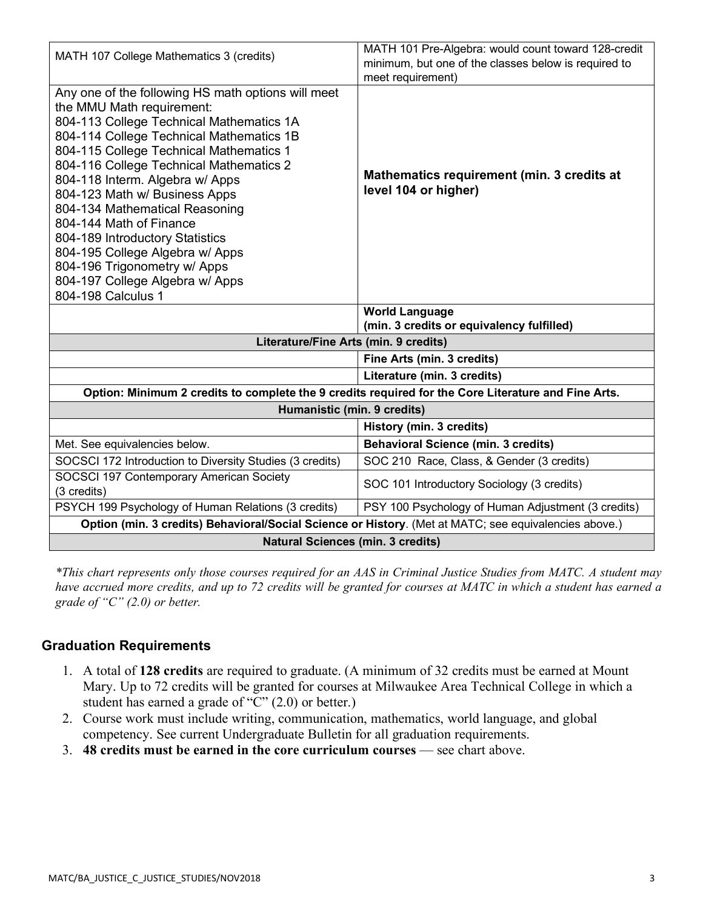| (min. 3 credits or equivalency fulfilled)<br>Literature/Fine Arts (min. 9 credits)<br>Fine Arts (min. 3 credits)<br>Literature (min. 3 credits)<br>Option: Minimum 2 credits to complete the 9 credits required for the Core Literature and Fine Arts.<br>Humanistic (min. 9 credits)<br>History (min. 3 credits)<br><b>Behavioral Science (min. 3 credits)</b><br>SOC 210 Race, Class, & Gender (3 credits)<br>SOC 101 Introductory Sociology (3 credits)<br>PSY 100 Psychology of Human Adjustment (3 credits)<br>Option (min. 3 credits) Behavioral/Social Science or History. (Met at MATC; see equivalencies above.) |
|---------------------------------------------------------------------------------------------------------------------------------------------------------------------------------------------------------------------------------------------------------------------------------------------------------------------------------------------------------------------------------------------------------------------------------------------------------------------------------------------------------------------------------------------------------------------------------------------------------------------------|
|                                                                                                                                                                                                                                                                                                                                                                                                                                                                                                                                                                                                                           |
|                                                                                                                                                                                                                                                                                                                                                                                                                                                                                                                                                                                                                           |
|                                                                                                                                                                                                                                                                                                                                                                                                                                                                                                                                                                                                                           |
|                                                                                                                                                                                                                                                                                                                                                                                                                                                                                                                                                                                                                           |
|                                                                                                                                                                                                                                                                                                                                                                                                                                                                                                                                                                                                                           |
|                                                                                                                                                                                                                                                                                                                                                                                                                                                                                                                                                                                                                           |
|                                                                                                                                                                                                                                                                                                                                                                                                                                                                                                                                                                                                                           |
|                                                                                                                                                                                                                                                                                                                                                                                                                                                                                                                                                                                                                           |
|                                                                                                                                                                                                                                                                                                                                                                                                                                                                                                                                                                                                                           |
|                                                                                                                                                                                                                                                                                                                                                                                                                                                                                                                                                                                                                           |
| <b>World Language</b>                                                                                                                                                                                                                                                                                                                                                                                                                                                                                                                                                                                                     |
|                                                                                                                                                                                                                                                                                                                                                                                                                                                                                                                                                                                                                           |
|                                                                                                                                                                                                                                                                                                                                                                                                                                                                                                                                                                                                                           |
|                                                                                                                                                                                                                                                                                                                                                                                                                                                                                                                                                                                                                           |
|                                                                                                                                                                                                                                                                                                                                                                                                                                                                                                                                                                                                                           |
|                                                                                                                                                                                                                                                                                                                                                                                                                                                                                                                                                                                                                           |
| level 104 or higher)                                                                                                                                                                                                                                                                                                                                                                                                                                                                                                                                                                                                      |
| Mathematics requirement (min. 3 credits at                                                                                                                                                                                                                                                                                                                                                                                                                                                                                                                                                                                |
|                                                                                                                                                                                                                                                                                                                                                                                                                                                                                                                                                                                                                           |
|                                                                                                                                                                                                                                                                                                                                                                                                                                                                                                                                                                                                                           |
|                                                                                                                                                                                                                                                                                                                                                                                                                                                                                                                                                                                                                           |
|                                                                                                                                                                                                                                                                                                                                                                                                                                                                                                                                                                                                                           |
|                                                                                                                                                                                                                                                                                                                                                                                                                                                                                                                                                                                                                           |
| meet requirement)                                                                                                                                                                                                                                                                                                                                                                                                                                                                                                                                                                                                         |
| MATH 101 Pre-Algebra: would count toward 128-credit<br>minimum, but one of the classes below is required to                                                                                                                                                                                                                                                                                                                                                                                                                                                                                                               |
|                                                                                                                                                                                                                                                                                                                                                                                                                                                                                                                                                                                                                           |

*\*This chart represents only those courses required for an AAS in Criminal Justice Studies from MATC. A student may have accrued more credits, and up to 72 credits will be granted for courses at MATC in which a student has earned a grade of "C" (2.0) or better.*

## **Graduation Requirements**

- 1. A total of **128 credits** are required to graduate. (A minimum of 32 credits must be earned at Mount Mary. Up to 72 credits will be granted for courses at Milwaukee Area Technical College in which a student has earned a grade of "C" (2.0) or better.)
- 2. Course work must include writing, communication, mathematics, world language, and global competency. See current Undergraduate Bulletin for all graduation requirements.
- 3. **48 credits must be earned in the core curriculum courses** see chart above.